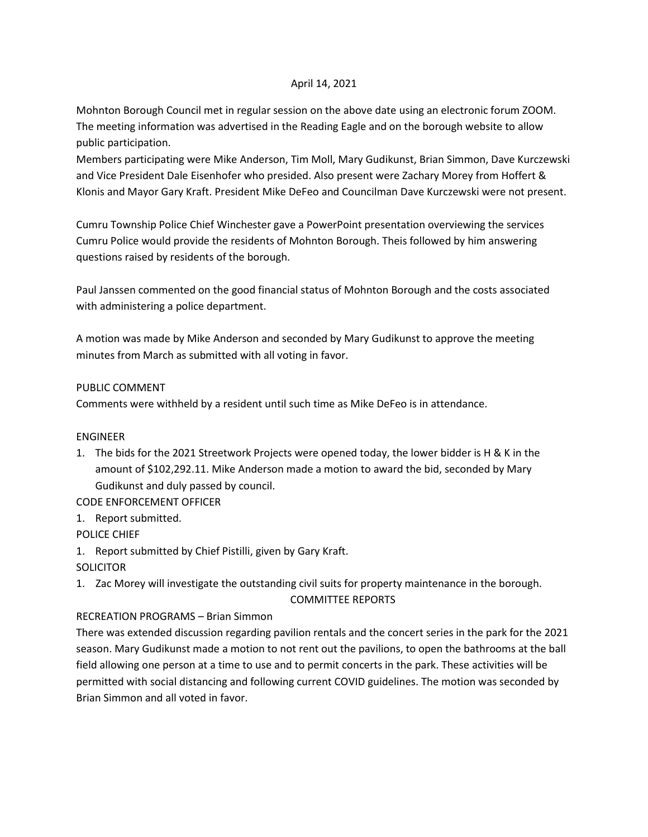## April 14, 2021

Mohnton Borough Council met in regular session on the above date using an electronic forum ZOOM. The meeting information was advertised in the Reading Eagle and on the borough website to allow public participation.

Members participating were Mike Anderson, Tim Moll, Mary Gudikunst, Brian Simmon, Dave Kurczewski and Vice President Dale Eisenhofer who presided. Also present were Zachary Morey from Hoffert & Klonis and Mayor Gary Kraft. President Mike DeFeo and Councilman Dave Kurczewski were not present.

Cumru Township Police Chief Winchester gave a PowerPoint presentation overviewing the services Cumru Police would provide the residents of Mohnton Borough. Theis followed by him answering questions raised by residents of the borough.

Paul Janssen commented on the good financial status of Mohnton Borough and the costs associated with administering a police department.

A motion was made by Mike Anderson and seconded by Mary Gudikunst to approve the meeting minutes from March as submitted with all voting in favor.

## PUBLIC COMMENT

Comments were withheld by a resident until such time as Mike DeFeo is in attendance.

## ENGINEER

1. The bids for the 2021 Streetwork Projects were opened today, the lower bidder is H & K in the amount of \$102,292.11. Mike Anderson made a motion to award the bid, seconded by Mary Gudikunst and duly passed by council.

CODE ENFORCEMENT OFFICER

1. Report submitted.

POLICE CHIEF

1. Report submitted by Chief Pistilli, given by Gary Kraft.

# **SOLICITOR**

1. Zac Morey will investigate the outstanding civil suits for property maintenance in the borough. COMMITTEE REPORTS

# RECREATION PROGRAMS – Brian Simmon

There was extended discussion regarding pavilion rentals and the concert series in the park for the 2021 season. Mary Gudikunst made a motion to not rent out the pavilions, to open the bathrooms at the ball field allowing one person at a time to use and to permit concerts in the park. These activities will be permitted with social distancing and following current COVID guidelines. The motion was seconded by Brian Simmon and all voted in favor.